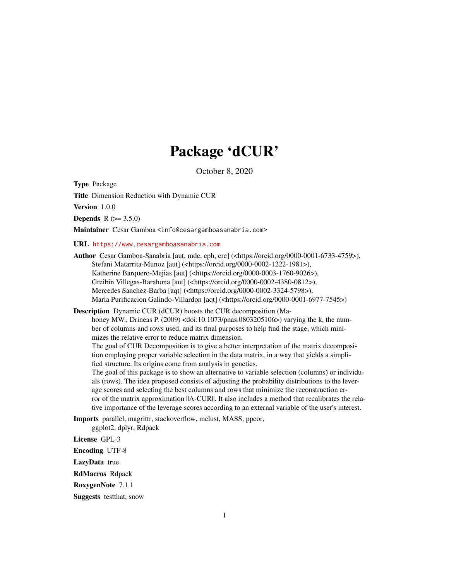## Package 'dCUR'

October 8, 2020

<span id="page-0-0"></span>Type Package

Title Dimension Reduction with Dynamic CUR

Version 1.0.0

**Depends** R  $(>= 3.5.0)$ 

Maintainer Cesar Gamboa <info@cesargamboasanabria.com>

URL <https://www.cesargamboasanabria.com>

Author Cesar Gamboa-Sanabria [aut, mdc, cph, cre] (<https://orcid.org/0000-0001-6733-4759>), Stefani Matarrita-Munoz [aut] (<https://orcid.org/0000-0002-1222-1981>), Katherine Barquero-Mejias [aut] (<https://orcid.org/0000-0003-1760-9026>), Greibin Villegas-Barahona [aut] (<https://orcid.org/0000-0002-4380-0812>), Mercedes Sanchez-Barba [aqt] (<https://orcid.org/0000-0002-3324-5798>), Maria Purificacion Galindo-Villardon [aqt] (<https://orcid.org/0000-0001-6977-7545>)

Description Dynamic CUR (dCUR) boosts the CUR decomposition (Ma-

honey MW., Drineas P. (2009) <doi:10.1073/pnas.0803205106>) varying the k, the number of columns and rows used, and its final purposes to help find the stage, which minimizes the relative error to reduce matrix dimension.

The goal of CUR Decomposition is to give a better interpretation of the matrix decomposition employing proper variable selection in the data matrix, in a way that yields a simplified structure. Its origins come from analysis in genetics.

The goal of this package is to show an alternative to variable selection (columns) or individuals (rows). The idea proposed consists of adjusting the probability distributions to the leverage scores and selecting the best columns and rows that minimize the reconstruction error of the matrix approximation  $||A-CURI||$ . It also includes a method that recalibrates the relative importance of the leverage scores according to an external variable of the user's interest.

Imports parallel, magrittr, stackoverflow, mclust, MASS, ppcor, ggplot2, dplyr, Rdpack

License GPL-3

Encoding UTF-8

LazyData true

RdMacros Rdpack

RoxygenNote 7.1.1

Suggests testthat, snow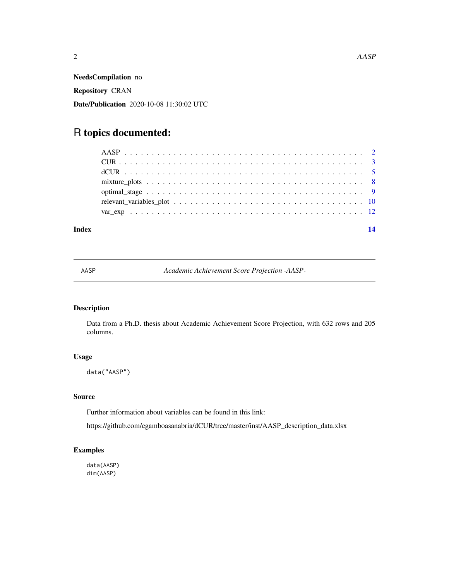<span id="page-1-0"></span>NeedsCompilation no Repository CRAN Date/Publication 2020-10-08 11:30:02 UTC

## R topics documented:

#### **Index** 2008 **[14](#page-13-0)**

AASP *Academic Achievement Score Projection -AASP-*

#### Description

Data from a Ph.D. thesis about Academic Achievement Score Projection, with 632 rows and 205 columns.

#### Usage

data("AASP")

#### Source

Further information about variables can be found in this link:

https://github.com/cgamboasanabria/dCUR/tree/master/inst/AASP\_description\_data.xlsx

#### Examples

data(AASP) dim(AASP)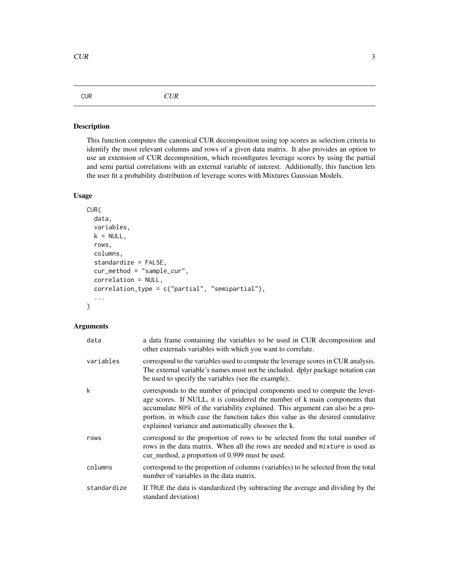#### <span id="page-2-1"></span><span id="page-2-0"></span>CUR *CUR*

#### Description

This function computes the canonical CUR decomposition using top scores as selection criteria to identify the most relevant columns and rows of a given data matrix. It also provides an option to use an extension of CUR decomposition, which reconfigures leverage scores by using the partial and semi partial correlations with an external variable of interest. Additionally, this function lets the user fit a probability distribution of leverage scores with Mixtures Gaussian Models.

#### Usage

```
CUR(
  data,
  variables,
  k = NULL,rows,
  columns,
  standardize = FALSE,
  cur_method = "sample_cur",
  correlation = NULL,
  correlation_type = c("partial", "semipartial"),
  ...
```
#### Arguments

)

| data        | a data frame containing the variables to be used in CUR decomposition and<br>other externals variables with which you want to correlate.                                                                                                                                                                                                                                             |
|-------------|--------------------------------------------------------------------------------------------------------------------------------------------------------------------------------------------------------------------------------------------------------------------------------------------------------------------------------------------------------------------------------------|
| variables   | correspond to the variables used to compute the leverage scores in CUR analysis.<br>The external variable's names must not be included. dplyr package notation can<br>be used to specify the variables (see the example).                                                                                                                                                            |
| k           | corresponds to the number of principal components used to compute the lever-<br>age scores. If NULL, it is considered the number of k main components that<br>accumulate 80% of the variability explained. This argument can also be a pro-<br>portion, in which case the function takes this value as the desired cumulative<br>explained variance and automatically chooses the k. |
| rows        | correspond to the proportion of rows to be selected from the total number of<br>rows in the data matrix. When all the rows are needed and mixture is used as<br>cur_method, a proportion of 0.999 must be used.                                                                                                                                                                      |
| columns     | correspond to the proportion of columns (variables) to be selected from the total<br>number of variables in the data matrix.                                                                                                                                                                                                                                                         |
| standardize | If TRUE the data is standardized (by subtracting the average and dividing by the<br>standard deviation)                                                                                                                                                                                                                                                                              |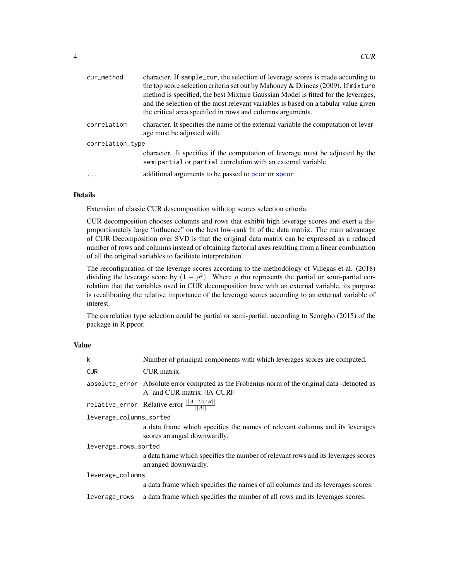<span id="page-3-0"></span>

| cur_method       | character. If sample_cur, the selection of leverage scores is made according to<br>the top score selection criteria set out by Mahoney & Drineas (2009). If mixture<br>method is specified, the best Mixture Gaussian Model is fitted for the leverages,<br>and the selection of the most relevant variables is based on a tabular value given<br>the critical area specified in rows and columns arguments. |  |
|------------------|--------------------------------------------------------------------------------------------------------------------------------------------------------------------------------------------------------------------------------------------------------------------------------------------------------------------------------------------------------------------------------------------------------------|--|
| correlation      | character. It specifies the name of the external variable the computation of lever-<br>age must be adjusted with.                                                                                                                                                                                                                                                                                            |  |
| correlation_type |                                                                                                                                                                                                                                                                                                                                                                                                              |  |
|                  | character. It specifies if the computation of leverage must be adjusted by the<br>semipartial or partial correlation with an external variable.                                                                                                                                                                                                                                                              |  |
|                  | additional arguments to be passed to pcor or spcor                                                                                                                                                                                                                                                                                                                                                           |  |
|                  |                                                                                                                                                                                                                                                                                                                                                                                                              |  |

#### Details

Extension of classic CUR descomposition with top scores selection criteria.

CUR decomposition chooses columns and rows that exhibit high leverage scores and exert a disproportionately large "influence" on the best low-rank fit of the data matrix. The main advantage of CUR Decomposition over SVD is that the original data matrix can be expressed as a reduced number of rows and columns instead of obtaining factorial axes resulting from a linear combination of all the original variables to facilitate interpretation.

The reconfiguration of the leverage scores according to the methodology of Villegas et al. (2018) dividing the leverage score by  $(1 - \rho^2)$ . Where  $\rho$  rho represents the partial or semi-partial correlation that the variables used in CUR decomposition have with an external variable, its purpose is recalibrating the relative importance of the leverage scores according to an external variable of interest.

The correlation type selection could be partial or semi-partial, according to Seongho (2015) of the package in R ppcor.

#### Value

| $\mathsf{k}$            | Number of principal components with which leverages scores are computed.                                                      |  |
|-------------------------|-------------------------------------------------------------------------------------------------------------------------------|--|
| <b>CUR</b>              | CUR matrix.                                                                                                                   |  |
|                         | absolute_error Absolute error computed as the Frobenius norm of the original data -detnoted as<br>A- and CUR matrix: IA-CURII |  |
|                         | relative_error Relative error $\frac{  A-CUR  }{  A  }$                                                                       |  |
| leverage_columns_sorted |                                                                                                                               |  |
|                         | a data frame which specifies the names of relevant columns and its leverages<br>scores arranged downwardly.                   |  |
| leverage_rows_sorted    |                                                                                                                               |  |
|                         | a data frame which specifies the number of relevant rows and its leverages scores<br>arranged downwardly.                     |  |
| leverage_columns        |                                                                                                                               |  |
|                         | a data frame which specifies the names of all columns and its leverages scores.                                               |  |
| leverage_rows           | a data frame which specifies the number of all rows and its leverages scores.                                                 |  |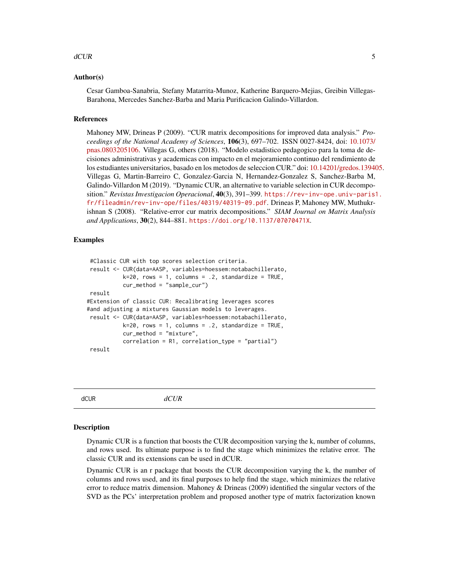#### <span id="page-4-0"></span> $\rm dCUR$  5

#### Author(s)

Cesar Gamboa-Sanabria, Stefany Matarrita-Munoz, Katherine Barquero-Mejias, Greibin Villegas-Barahona, Mercedes Sanchez-Barba and Maria Purificacion Galindo-Villardon.

#### References

Mahoney MW, Drineas P (2009). "CUR matrix decompositions for improved data analysis." *Proceedings of the National Academy of Sciences*, 106(3), 697–702. ISSN 0027-8424, doi: [10.1073/](https://doi.org/10.1073/pnas.0803205106) [pnas.0803205106.](https://doi.org/10.1073/pnas.0803205106) Villegas G, others (2018). "Modelo estadistico pedagogico para la toma de decisiones administrativas y academicas con impacto en el mejoramiento continuo del rendimiento de los estudiantes universitarios, basado en los metodos de seleccion CUR." doi: [10.14201/gredos.139405.](https://doi.org/10.14201/gredos.139405) Villegas G, Martin-Barreiro C, Gonzalez-Garcia N, Hernandez-Gonzalez S, Sanchez-Barba M, Galindo-Villardon M (2019). "Dynamic CUR, an alternative to variable selection in CUR decomposition." *Revistas Investigacion Operacional*, 40(3), 391–399. [https://rev-inv-ope.univ-paris1](https://rev-inv-ope.univ-paris1.fr/fileadmin/rev-inv-ope/files/40319/40319-09.pdf). [fr/fileadmin/rev-inv-ope/files/40319/40319-09.pdf](https://rev-inv-ope.univ-paris1.fr/fileadmin/rev-inv-ope/files/40319/40319-09.pdf). Drineas P, Mahoney MW, Muthukrishnan S (2008). "Relative-error cur matrix decompositions." *SIAM Journal on Matrix Analysis and Applications*, 30(2), 844–881. <https://doi.org/10.1137/07070471X>.

#### Examples

```
#Classic CUR with top scores selection criteria.
result <- CUR(data=AASP, variables=hoessem:notabachillerato,
          k=20, rows = 1, columns = .2, standardize = TRUE,
           cur_method = "sample_cur")
result
#Extension of classic CUR: Recalibrating leverages scores
#and adjusting a mixtures Gaussian models to leverages.
result <- CUR(data=AASP, variables=hoessem:notabachillerato,
          k=20, rows = 1, columns = .2, standardize = TRUE,
           cur_method = "mixture",
          correlation = R1, correlation_type = "partial")
result
```
<span id="page-4-1"></span>dCUR *dCUR*

#### Description

Dynamic CUR is a function that boosts the CUR decomposition varying the k, number of columns, and rows used. Its ultimate purpose is to find the stage which minimizes the relative error. The classic CUR and its extensions can be used in dCUR.

Dynamic CUR is an r package that boosts the CUR decomposition varying the k, the number of columns and rows used, and its final purposes to help find the stage, which minimizes the relative error to reduce matrix dimension. Mahoney & Drineas (2009) identified the singular vectors of the SVD as the PCs' interpretation problem and proposed another type of matrix factorization known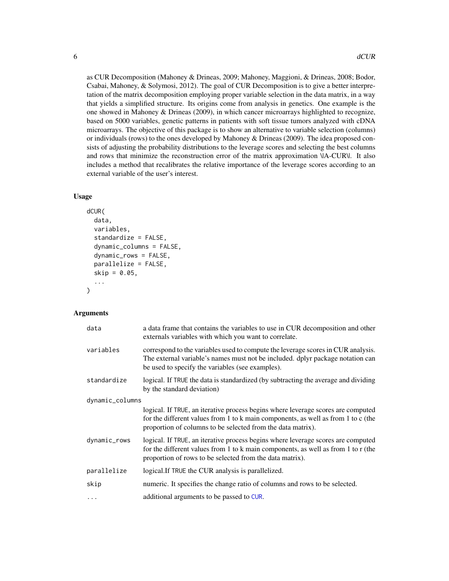<span id="page-5-0"></span>as CUR Decomposition (Mahoney & Drineas, 2009; Mahoney, Maggioni, & Drineas, 2008; Bodor, Csabai, Mahoney, & Solymosi, 2012). The goal of CUR Decomposition is to give a better interpretation of the matrix decomposition employing proper variable selection in the data matrix, in a way that yields a simplified structure. Its origins come from analysis in genetics. One example is the one showed in Mahoney & Drineas (2009), in which cancer microarrays highlighted to recognize, based on 5000 variables, genetic patterns in patients with soft tissue tumors analyzed with cDNA microarrays. The objective of this package is to show an alternative to variable selection (columns) or individuals (rows) to the ones developed by Mahoney & Drineas (2009). The idea proposed consists of adjusting the probability distributions to the leverage scores and selecting the best columns and rows that minimize the reconstruction error of the matrix approximation \|A-CUR\|. It also includes a method that recalibrates the relative importance of the leverage scores according to an external variable of the user's interest.

#### Usage

```
dCUR(
  data,
  variables,
  standardize = FALSE,
  dynamic_columns = FALSE,
  dynamic_rows = FALSE,
  parallelize = FALSE,
  skip = 0.05,
  ...
\mathcal{E}
```
#### Arguments

| data            | a data frame that contains the variables to use in CUR decomposition and other<br>externals variables with which you want to correlate.                                                                                              |  |
|-----------------|--------------------------------------------------------------------------------------------------------------------------------------------------------------------------------------------------------------------------------------|--|
| variables       | correspond to the variables used to compute the leverage scores in CUR analysis.<br>The external variable's names must not be included. dplyr package notation can<br>be used to specify the variables (see examples).               |  |
| standardize     | logical. If TRUE the data is standardized (by subtracting the average and dividing<br>by the standard deviation)                                                                                                                     |  |
| dynamic_columns |                                                                                                                                                                                                                                      |  |
|                 | logical. If TRUE, an iterative process begins where leverage scores are computed<br>for the different values from 1 to k main components, as well as from 1 to c (the<br>proportion of columns to be selected from the data matrix). |  |
| dynamic_rows    | logical. If TRUE, an iterative process begins where leverage scores are computed<br>for the different values from 1 to k main components, as well as from 1 to r (the<br>proportion of rows to be selected from the data matrix).    |  |
| parallelize     | logical. If TRUE the CUR analysis is parallelized.                                                                                                                                                                                   |  |
| skip            | numeric. It specifies the change ratio of columns and rows to be selected.                                                                                                                                                           |  |
| $\ddotsc$       | additional arguments to be passed to CUR.                                                                                                                                                                                            |  |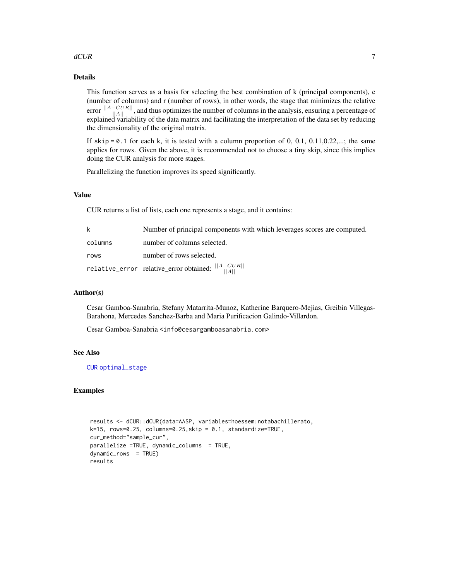#### <span id="page-6-0"></span> $dCUR$  and  $7$

#### Details

This function serves as a basis for selecting the best combination of k (principal components), c (number of columns) and r (number of rows), in other words, the stage that minimizes the relative error  $\frac{||A-CUR||}{||A||}$ , and thus optimizes the number of columns in the analysis, ensuring a percentage of explained variability of the data matrix and facilitating the interpretation of the data set by reducing the dimensionality of the original matrix.

If  $skip = 0.1$  for each k, it is tested with a column proportion of 0, 0.1, 0.11,0.22,...; the same applies for rows. Given the above, it is recommended not to choose a tiny skip, since this implies doing the CUR analysis for more stages.

Parallelizing the function improves its speed significantly.

#### Value

CUR returns a list of lists, each one represents a stage, and it contains:

| k       | Number of principal components with which leverages scores are computed. |
|---------|--------------------------------------------------------------------------|
| columns | number of columns selected.                                              |
| rows    | number of rows selected.                                                 |
|         | relative_error relative_error obtained: $\frac{  A-CUR  }{  A  }$        |

#### Author(s)

Cesar Gamboa-Sanabria, Stefany Matarrita-Munoz, Katherine Barquero-Mejias, Greibin Villegas-Barahona, Mercedes Sanchez-Barba and Maria Purificacion Galindo-Villardon.

Cesar Gamboa-Sanabria <info@cesargamboasanabria.com>

#### See Also

[CUR](#page-2-1) [optimal\\_stage](#page-8-1)

#### Examples

```
results <- dCUR::dCUR(data=AASP, variables=hoessem:notabachillerato,
k=15, rows=0.25, columns=0.25, skip = 0.1, standardize=TRUE,
cur_method="sample_cur",
parallelize =TRUE, dynamic_columns = TRUE,
dvnamic rows = TRUE)
results
```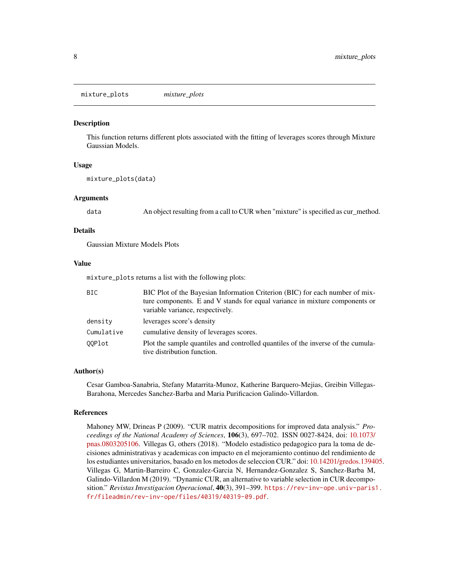<span id="page-7-0"></span>mixture\_plots *mixture\_plots*

#### **Description**

This function returns different plots associated with the fitting of leverages scores through Mixture Gaussian Models.

#### Usage

```
mixture_plots(data)
```
#### Arguments

data An object resulting from a call to CUR when "mixture" is specified as cur\_method.

#### Details

Gaussian Mixture Models Plots

#### Value

mixture\_plots returns a list with the following plots:

| BIC        | BIC Plot of the Bayesian Information Criterion (BIC) for each number of mix-<br>ture components. E and V stands for equal variance in mixture components or<br>variable variance, respectively. |
|------------|-------------------------------------------------------------------------------------------------------------------------------------------------------------------------------------------------|
| density    | leverages score's density                                                                                                                                                                       |
| Cumulative | cumulative density of leverages scores.                                                                                                                                                         |
| 00Plot     | Plot the sample quantiles and controlled quantiles of the inverse of the cumula-<br>tive distribution function.                                                                                 |

#### Author(s)

Cesar Gamboa-Sanabria, Stefany Matarrita-Munoz, Katherine Barquero-Mejias, Greibin Villegas-Barahona, Mercedes Sanchez-Barba and Maria Purificacion Galindo-Villardon.

#### References

Mahoney MW, Drineas P (2009). "CUR matrix decompositions for improved data analysis." *Proceedings of the National Academy of Sciences*, 106(3), 697–702. ISSN 0027-8424, doi: [10.1073/](https://doi.org/10.1073/pnas.0803205106) [pnas.0803205106.](https://doi.org/10.1073/pnas.0803205106) Villegas G, others (2018). "Modelo estadistico pedagogico para la toma de decisiones administrativas y academicas con impacto en el mejoramiento continuo del rendimiento de los estudiantes universitarios, basado en los metodos de seleccion CUR." doi: [10.14201/gredos.139405.](https://doi.org/10.14201/gredos.139405) Villegas G, Martin-Barreiro C, Gonzalez-Garcia N, Hernandez-Gonzalez S, Sanchez-Barba M, Galindo-Villardon M (2019). "Dynamic CUR, an alternative to variable selection in CUR decomposition." *Revistas Investigacion Operacional*, 40(3), 391–399. [https://rev-inv-ope.univ-paris1](https://rev-inv-ope.univ-paris1.fr/fileadmin/rev-inv-ope/files/40319/40319-09.pdf). [fr/fileadmin/rev-inv-ope/files/40319/40319-09.pdf](https://rev-inv-ope.univ-paris1.fr/fileadmin/rev-inv-ope/files/40319/40319-09.pdf).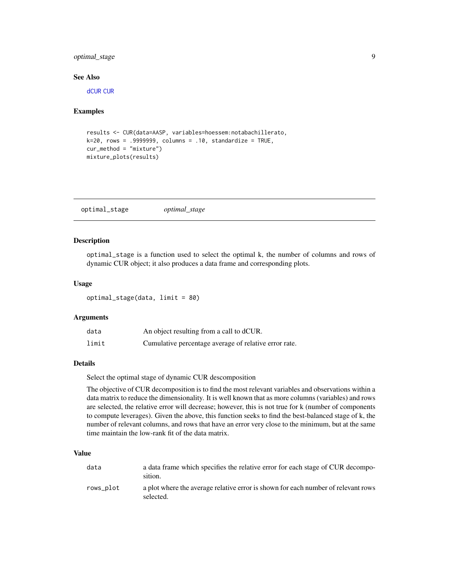#### <span id="page-8-0"></span>optimal\_stage 9

#### See Also

[dCUR](#page-4-1) [CUR](#page-2-1)

#### Examples

```
results <- CUR(data=AASP, variables=hoessem:notabachillerato,
k=20, rows = .9999999, columns = .10, standardize = TRUE,
cur_method = "mixture")
mixture_plots(results)
```
<span id="page-8-1"></span>optimal\_stage *optimal\_stage*

#### Description

optimal\_stage is a function used to select the optimal k, the number of columns and rows of dynamic CUR object; it also produces a data frame and corresponding plots.

#### Usage

optimal\_stage(data, limit = 80)

#### Arguments

| data  | An object resulting from a call to dCUR.              |
|-------|-------------------------------------------------------|
| limit | Cumulative percentage average of relative error rate. |

#### Details

Select the optimal stage of dynamic CUR descomposition

The objective of CUR decomposition is to find the most relevant variables and observations within a data matrix to reduce the dimensionality. It is well known that as more columns (variables) and rows are selected, the relative error will decrease; however, this is not true for k (number of components to compute leverages). Given the above, this function seeks to find the best-balanced stage of k, the number of relevant columns, and rows that have an error very close to the minimum, but at the same time maintain the low-rank fit of the data matrix.

#### Value

| data      | a data frame which specifies the relative error for each stage of CUR decompo-<br>sition.      |
|-----------|------------------------------------------------------------------------------------------------|
| rows_plot | a plot where the average relative error is shown for each number of relevant rows<br>selected. |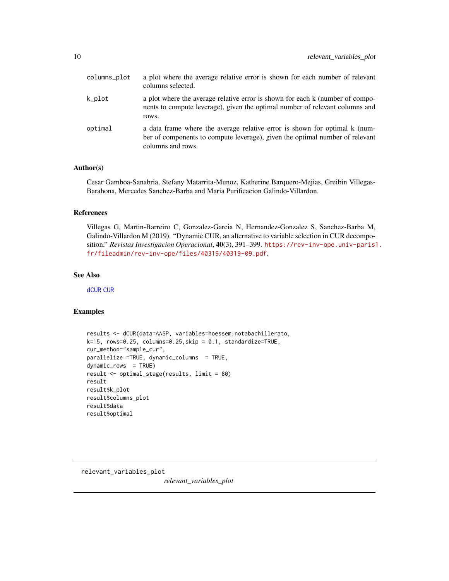<span id="page-9-0"></span>

| columns_plot | a plot where the average relative error is shown for each number of relevant<br>columns selected.                                                                               |
|--------------|---------------------------------------------------------------------------------------------------------------------------------------------------------------------------------|
| k_plot       | a plot where the average relative error is shown for each k (number of compo-<br>nents to compute leverage), given the optimal number of relevant columns and<br>rows.          |
| optimal      | a data frame where the average relative error is shown for optimal k (num-<br>ber of components to compute leverage), given the optimal number of relevant<br>columns and rows. |

#### Author(s)

Cesar Gamboa-Sanabria, Stefany Matarrita-Munoz, Katherine Barquero-Mejias, Greibin Villegas-Barahona, Mercedes Sanchez-Barba and Maria Purificacion Galindo-Villardon.

#### References

Villegas G, Martin-Barreiro C, Gonzalez-Garcia N, Hernandez-Gonzalez S, Sanchez-Barba M, Galindo-Villardon M (2019). "Dynamic CUR, an alternative to variable selection in CUR decomposition." *Revistas Investigacion Operacional*, 40(3), 391–399. [https://rev-inv-ope.univ-paris1](https://rev-inv-ope.univ-paris1.fr/fileadmin/rev-inv-ope/files/40319/40319-09.pdf). [fr/fileadmin/rev-inv-ope/files/40319/40319-09.pdf](https://rev-inv-ope.univ-paris1.fr/fileadmin/rev-inv-ope/files/40319/40319-09.pdf).

#### See Also

[dCUR](#page-4-1) [CUR](#page-2-1)

#### Examples

```
results <- dCUR(data=AASP, variables=hoessem:notabachillerato,
k=15, rows=0.25, columns=0.25,skip = 0.1, standardize=TRUE,
cur_method="sample_cur",
parallelize =TRUE, dynamic_columns = TRUE,
dynamic_rows = TRUE)
result <- optimal_stage(results, limit = 80)
result
result$k_plot
result$columns_plot
result$data
result$optimal
```
relevant\_variables\_plot

*relevant\_variables\_plot*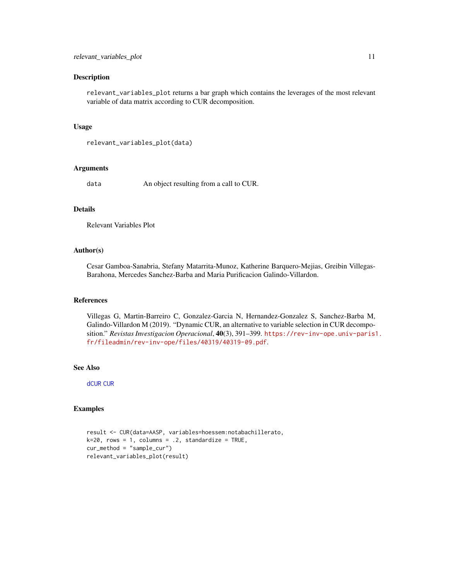#### <span id="page-10-0"></span>Description

relevant\_variables\_plot returns a bar graph which contains the leverages of the most relevant variable of data matrix according to CUR decomposition.

#### Usage

```
relevant_variables_plot(data)
```
#### Arguments

data An object resulting from a call to CUR.

#### Details

Relevant Variables Plot

#### Author(s)

Cesar Gamboa-Sanabria, Stefany Matarrita-Munoz, Katherine Barquero-Mejias, Greibin Villegas-Barahona, Mercedes Sanchez-Barba and Maria Purificacion Galindo-Villardon.

#### References

Villegas G, Martin-Barreiro C, Gonzalez-Garcia N, Hernandez-Gonzalez S, Sanchez-Barba M, Galindo-Villardon M (2019). "Dynamic CUR, an alternative to variable selection in CUR decomposition." *Revistas Investigacion Operacional*, 40(3), 391–399. [https://rev-inv-ope.univ-paris1](https://rev-inv-ope.univ-paris1.fr/fileadmin/rev-inv-ope/files/40319/40319-09.pdf). [fr/fileadmin/rev-inv-ope/files/40319/40319-09.pdf](https://rev-inv-ope.univ-paris1.fr/fileadmin/rev-inv-ope/files/40319/40319-09.pdf).

#### See Also

[dCUR](#page-4-1) [CUR](#page-2-1)

#### Examples

```
result <- CUR(data=AASP, variables=hoessem:notabachillerato,
k=20, rows = 1, columns = .2, standardize = TRUE,
cur_method = "sample_cur")
relevant_variables_plot(result)
```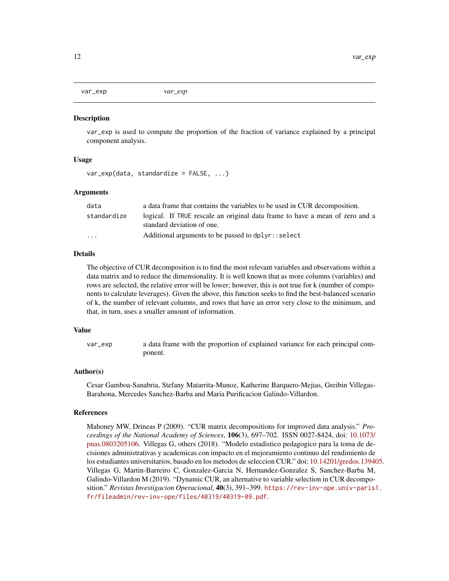<span id="page-11-0"></span>var\_exp *var\_exp*

#### **Description**

var\_exp is used to compute the proportion of the fraction of variance explained by a principal component analysis.

#### Usage

```
var_exp(data, standardize = FALSE, ...)
```
#### Arguments

| data        | a data frame that contains the variables to be used in CUR decomposition.                                  |
|-------------|------------------------------------------------------------------------------------------------------------|
| standardize | logical. If TRUE rescale an original data frame to have a mean of zero and a<br>standard deviation of one. |
| .           | Additional arguments to be passed to dplyr::select                                                         |

#### Details

The objective of CUR decomposition is to find the most relevant variables and observations within a data matrix and to reduce the dimensionality. It is well known that as more columns (variables) and rows are selected, the relative error will be lower; however, this is not true for k (number of components to calculate leverages). Given the above, this function seeks to find the best-balanced scenario of k, the number of relevant columns, and rows that have an error very close to the minimum, and that, in turn, uses a smaller amount of information.

#### Value

var\_exp a data frame with the proportion of explained variance for each principal component.

#### Author(s)

Cesar Gamboa-Sanabria, Stefany Matarrita-Munoz, Katherine Barquero-Mejias, Greibin Villegas-Barahona, Mercedes Sanchez-Barba and Maria Purificacion Galindo-Villardon.

#### References

Mahoney MW, Drineas P (2009). "CUR matrix decompositions for improved data analysis." *Proceedings of the National Academy of Sciences*, 106(3), 697–702. ISSN 0027-8424, doi: [10.1073/](https://doi.org/10.1073/pnas.0803205106) [pnas.0803205106.](https://doi.org/10.1073/pnas.0803205106) Villegas G, others (2018). "Modelo estadistico pedagogico para la toma de decisiones administrativas y academicas con impacto en el mejoramiento continuo del rendimiento de los estudiantes universitarios, basado en los metodos de seleccion CUR." doi: [10.14201/gredos.139405.](https://doi.org/10.14201/gredos.139405) Villegas G, Martin-Barreiro C, Gonzalez-Garcia N, Hernandez-Gonzalez S, Sanchez-Barba M, Galindo-Villardon M (2019). "Dynamic CUR, an alternative to variable selection in CUR decomposition." *Revistas Investigacion Operacional*, 40(3), 391–399. [https://rev-inv-ope.univ-paris1](https://rev-inv-ope.univ-paris1.fr/fileadmin/rev-inv-ope/files/40319/40319-09.pdf). [fr/fileadmin/rev-inv-ope/files/40319/40319-09.pdf](https://rev-inv-ope.univ-paris1.fr/fileadmin/rev-inv-ope/files/40319/40319-09.pdf).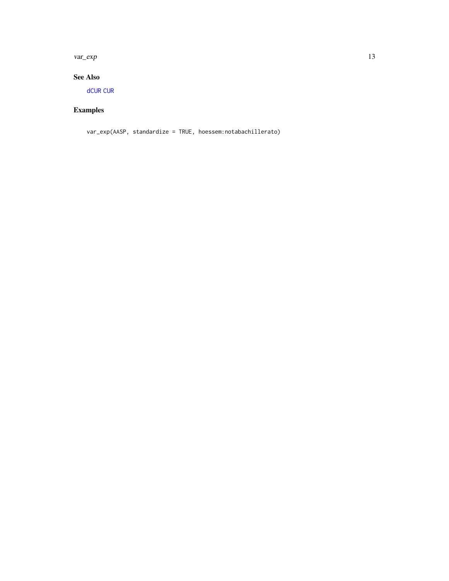<span id="page-12-0"></span>var\_exp 13

#### See Also

[dCUR](#page-4-1) [CUR](#page-2-1)

### Examples

var\_exp(AASP, standardize = TRUE, hoessem:notabachillerato)